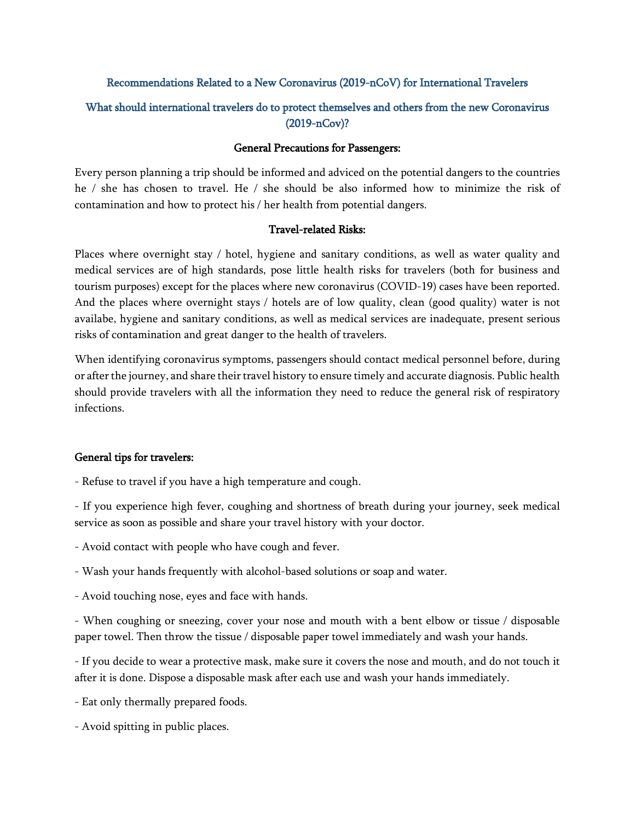### Recommendations Related to a New Coronavirus (2019-nCoV) for International Travelers

# What should international travelers do to protect themselves and others from the new Coronavirus (2019-nCov)?

#### General Precautions for Passengers:

Every person planning a trip should be informed and adviced on the potential dangers to the countries he / she has chosen to travel. He / she should be also informed how to minimize the risk of contamination and how to protect his / her health from potential dangers.

#### Travel-related Risks:

Places where overnight stay / hotel, hygiene and sanitary conditions, as well as water quality and medical services are of high standards, pose little health risks for travelers (both for business and tourism purposes) except for the places where new coronavirus (COVID-19) cases have been reported. And the places where overnight stays / hotels are of low quality, clean (good quality) water is not availabe, hygiene and sanitary conditions, as well as medical services are inadequate, present serious risks of contamination and great danger to the health of travelers.

When identifying coronavirus symptoms, passengers should contact medical personnel before, during or after the journey, and share their travel history to ensure timely and accurate diagnosis. Public health should provide travelers with all the information they need to reduce the general risk of respiratory infections.

## General tips for travelers:

- Refuse to travel if you have a high temperature and cough.

- If you experience high fever, coughing and shortness of breath during your journey, seek medical service as soon as possible and share your travel history with your doctor.

- Avoid contact with people who have cough and fever.

- Wash your hands frequently with alcohol-based solutions or soap and water.
- Avoid touching nose, eyes and face with hands.

- When coughing or sneezing, cover your nose and mouth with a bent elbow or tissue / disposable paper towel. Then throw the tissue / disposable paper towel immediately and wash your hands.

- If you decide to wear a protective mask, make sure it covers the nose and mouth, and do not touch it after it is done. Dispose a disposable mask after each use and wash your hands immediately.

- Eat only thermally prepared foods.
- Avoid spitting in public places.